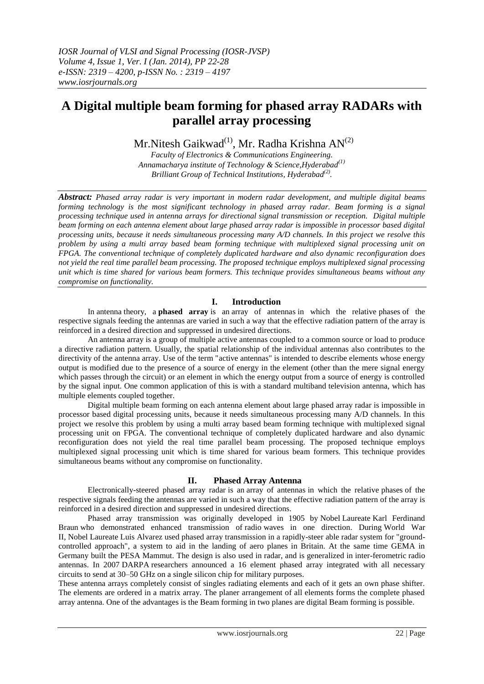# **A Digital multiple beam forming for phased array RADARs with parallel array processing**

Mr.Nitesh Gaikwad $^{(1)}$ , Mr. Radha Krishna AN $^{(2)}$ 

*Faculty of Electronics & Communications Engineering. Annamacharya institute of Technology & Science,Hyderabad(1) Brilliant Group of Technical Institutions, Hyderabad(2) .*

*Abstract: Phased array radar is very important in modern radar development, and multiple digital beams forming technology is the most significant technology in phased array radar. Beam forming is a signal processing technique used in antenna arrays for directional signal transmission or reception. Digital multiple beam forming on each antenna element about large phased array radar is impossible in processor based digital processing units, because it needs simultaneous processing many A/D channels. In this project we resolve this problem by using a multi array based beam forming technique with multiplexed signal processing unit on FPGA. The conventional technique of completely duplicated hardware and also dynamic reconfiguration does not yield the real time parallel beam processing. The proposed technique employs multiplexed signal processing unit which is time shared for various beam formers. This technique provides simultaneous beams without any compromise on functionality.* 

## **I. Introduction**

In [antenna](http://en.wikipedia.org/wiki/Antenna_(radio)) theory, a **phased array** is an [array of antennas](http://en.wikipedia.org/wiki/Antenna_array_(electromagnetic)) in which the relative [phases](http://en.wikipedia.org/wiki/Phase_(waves)) of the respective [signals](http://en.wikipedia.org/wiki/Signaling_(telecommunication)) feeding the antennas are varied in such a way that the effective [radiation pattern](http://en.wikipedia.org/wiki/Radiation_pattern) of the array is reinforced in a desired direction and suppressed in undesired directions.

An [antenna array](http://en.wikipedia.org/wiki/Antenna_array) is a group of multiple active antennas coupled to a common source or load to produce a directive radiation pattern. Usually, the spatial relationship of the individual antennas also contributes to the directivity of the antenna array. Use of the term ["active antennas"](http://en.wikipedia.org/wiki/Active_antenna) is intended to describe elements whose energy output is modified due to the presence of a source of energy in the element (other than the mere signal energy which passes through the circuit) or an element in which the energy output from a source of energy is controlled by the signal input. One common application of this is with a standard multiband [television antenna,](http://en.wikipedia.org/wiki/Television_antenna) which has multiple elements coupled together.

Digital multiple beam forming on each antenna element about large phased array radar is impossible in processor based digital processing units, because it needs simultaneous processing many A/D channels. In this project we resolve this problem by using a multi array based beam forming technique with multiplexed signal processing unit on FPGA. The conventional technique of completely duplicated hardware and also dynamic reconfiguration does not yield the real time parallel beam processing. The proposed technique employs multiplexed signal processing unit which is time shared for various beam formers. This technique provides simultaneous beams without any compromise on functionality.

## **II. Phased Array Antenna**

Electronically-steered phased array radar is an array of antennas in which the relative phases of the respective signals feeding the antennas are varied in such a way that the effective radiation pattern of the array is reinforced in a desired direction and suppressed in undesired directions.

Phased array transmission was originally developed in 1905 by Nobel Laureate Karl Ferdinand Braun who demonstrated enhanced transmission of radio waves in one direction. During World War II, Nobel Laureate Luis Alvarez used phased array transmission in a rapidly-steer able radar system for "groundcontrolled approach", a system to aid in the landing of aero planes in Britain. At the same time GEMA in Germany built the PESA Mammut. The design is also used in radar, and is generalized in inter-ferometric radio antennas. In 2007 DARPA researchers announced a 16 element phased array integrated with all necessary circuits to send at 30–50 GHz on a single silicon chip for military purposes.

These antenna arrays completely consist of singles radiating elements and each of it gets an own phase shifter. The elements are ordered in a matrix array. The planer arrangement of all elements forms the complete phased array antenna. One of the advantages is the Beam forming in two planes are digital Beam forming is possible.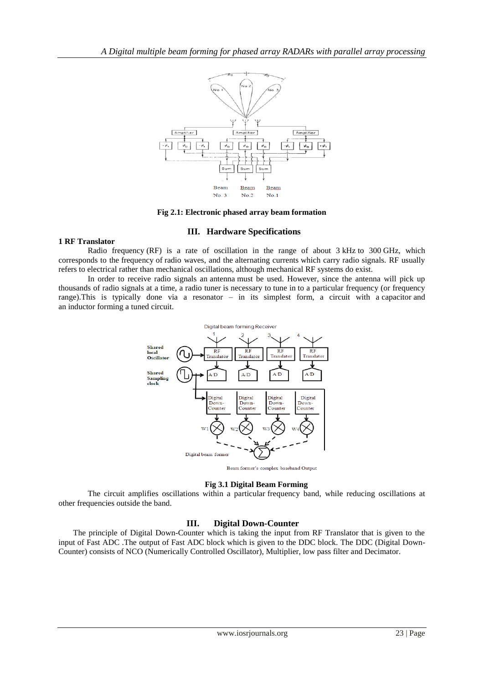

**Fig 2.1: Electronic phased array beam formation**

## **III. Hardware Specifications**

#### **1 RF Translator**

Radio frequency (RF) is a rate of oscillation in the range of about 3 [kHz](http://en.wikipedia.org/wiki/KHz) to 300 [GHz,](http://en.wikipedia.org/wiki/Gigahertz) which corresponds to the [frequency](http://en.wikipedia.org/wiki/Frequency) of [radio waves,](http://en.wikipedia.org/wiki/Radio_waves) and the [alternating currents](http://en.wikipedia.org/wiki/Alternating_current) which carry radio signals. RF usually refers to electrical rather than mechanical oscillations, although mechanical RF systems do exist.

In order to receive radio signals an [antenna](http://en.wikipedia.org/wiki/Antenna_(radio)) must be used. However, since the antenna will pick up thousands of radio signals at a time, a [radio tuner](http://en.wikipedia.org/wiki/Radio_tuner) is necessary to tune in to a particular frequency (or frequency range).This is typically done via a resonator – in its simplest form, a circuit with a [capacitor](http://en.wikipedia.org/wiki/Capacitor) and an [inductor](http://en.wikipedia.org/wiki/Inductor) forming a [tuned circuit.](http://en.wikipedia.org/wiki/LC_circuit)



#### **Fig 3.1 Digital Beam Forming**

The circuit amplifies oscillations within a particular [frequency band,](http://en.wikipedia.org/wiki/Frequency_band) while reducing oscillations at other frequencies outside the band.

## **III. Digital Down-Counter**

The principle of Digital Down-Counter which is taking the input from RF Translator that is given to the input of Fast ADC .The output of Fast ADC block which is given to the DDC block. The DDC (Digital Down-Counter) consists of NCO (Numerically Controlled Oscillator), Multiplier, low pass filter and Decimator.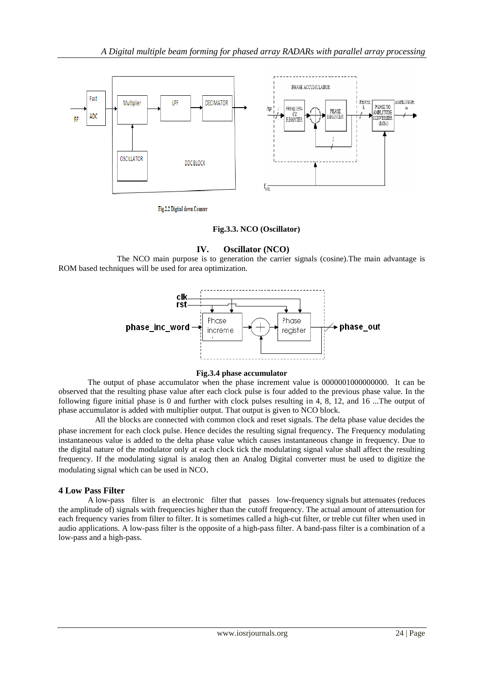

Fig.2.2 Digital down Counter

#### **Fig.3.3. NCO (Oscillator)**

#### **IV. Oscillator (NCO)**

The NCO main purpose is to generation the carrier signals (cosine).The main advantage is ROM based techniques will be used for area optimization.



#### **Fig.3.4 phase accumulator**

The output of phase accumulator when the phase increment value is 0000001000000000. It can be observed that the resulting phase value after each clock pulse is four added to the previous phase value. In the following figure initial phase is 0 and further with clock pulses resulting in 4, 8, 12, and 16 ...The output of phase accumulator is added with multiplier output. That output is given to NCO block.

All the blocks are connected with common clock and reset signals. The delta phase value decides the phase increment for each clock pulse. Hence decides the resulting signal frequency. The Frequency modulating instantaneous value is added to the delta phase value which causes instantaneous change in frequency. Due to the digital nature of the modulator only at each clock tick the modulating signal value shall affect the resulting frequency. If the modulating signal is analog then an Analog Digital converter must be used to digitize the modulating signal which can be used in NCO.

#### **4 Low Pass Filter**

A low-pass filter is an [electronic filter](http://en.wikipedia.org/wiki/Filter_(signal_processing)) that passes low[-frequency](http://en.wikipedia.org/wiki/Frequency) [signals](http://en.wikipedia.org/wiki/Signal_(electrical_engineering)) but [attenuates](http://en.wikipedia.org/wiki/Attenuate) (reduces the [amplitude](http://en.wikipedia.org/wiki/Amplitude) of) signals with frequencies higher than the [cutoff frequency.](http://en.wikipedia.org/wiki/Cutoff_frequency) The actual amount of attenuation for each frequency varies from filter to filter. It is sometimes called a high-cut filter, or treble cut filter when used in audio applications. A low-pass filter is the opposite of a [high-pass filter.](http://en.wikipedia.org/wiki/High-pass_filter) A [band-pass filter](http://en.wikipedia.org/wiki/Band-pass_filter) is a combination of a low-pass and a high-pass.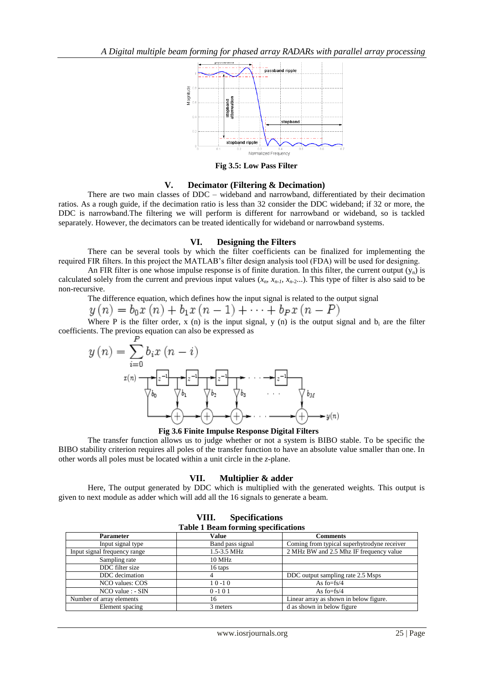

**Fig 3.5: Low Pass Filter**

#### **V. Decimator (Filtering & Decimation)**

There are two main classes of DDC – wideband and narrowband, differentiated by their decimation ratios. As a rough guide, if the decimation ratio is less than 32 consider the DDC wideband; if 32 or more, the DDC is narrowband.The filtering we will perform is different for narrowband or wideband, so is tackled separately. However, the decimators can be treated identically for wideband or narrowband systems.

#### **VI. Designing the Filters**

There can be several tools by which the filter coefficients can be finalized for implementing the required FIR filters. In this project the MATLAB's filter design analysis tool (FDA) will be used for designing.

An FIR filter is one whose impulse response is of finite duration. In this filter, the current output  $(y_n)$  is calculated solely from the current and previous input values  $(x_n, x_{n-1}, x_{n-2}...)$ . This type of filter is also said to be non-recursive.

The difference equation, which defines how the input signal is related to the output signal

$$
y(n) = b_0 x(n) + b_1 x(n-1) + \dots + b_p x(n-P)
$$

Where P is the filter order, x (n) is the input signal, y (n) is the output signal and b<sub>i</sub> are the filter coefficients. The previous equation can also be expressed as



**Fig 3.6 Finite Impulse Response Digital Filters**

The transfer function allows us to judge whether or not a system is BIBO stable. To be specific the BIBO stability criterion requires all poles of the transfer function to have an absolute value smaller than one. In other words all poles must be located within a unit circle in the *z*-plane.

#### **VII. Multiplier & adder**

Here, The output generated by DDC which is multiplied with the generated weights. This output is given to next module as adder which will add all the 16 signals to generate a beam.

| 222                                        |                  |                                             |  |  |  |  |  |
|--------------------------------------------|------------------|---------------------------------------------|--|--|--|--|--|
| <b>Table 1 Beam forming specifications</b> |                  |                                             |  |  |  |  |  |
| <b>Parameter</b>                           | Value            | Comments                                    |  |  |  |  |  |
| Input signal type                          | Band pass signal | Coming from typical superhytrodyne receiver |  |  |  |  |  |
| Input signal frequency range               | 1.5-3.5 MHz      | 2 MHz BW and 2.5 Mhz IF frequency value     |  |  |  |  |  |
| Sampling rate                              | 10 MHz           |                                             |  |  |  |  |  |
| DDC filter size                            | 16 taps          |                                             |  |  |  |  |  |
| DDC decimation                             |                  | DDC output sampling rate 2.5 Msps           |  |  |  |  |  |
| NCO values: COS                            | 10-10            | As fo= $fs/4$                               |  |  |  |  |  |
| $NCO$ value : $-SIN$                       | $0 - 101$        | As fo=fs/4                                  |  |  |  |  |  |
| Number of array elements                   | 16               | Linear array as shown in below figure.      |  |  |  |  |  |
| Element spacing                            | 3 meters         | d as shown in below figure                  |  |  |  |  |  |

| VIII. | <b>Specifications</b>             |  |
|-------|-----------------------------------|--|
|       | able 1 Beam forming specification |  |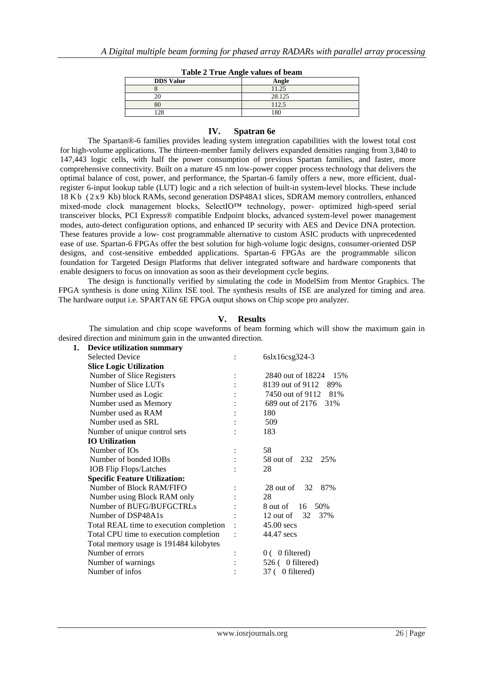| $\frac{1}{2}$ and $\frac{1}{2}$ and $\frac{1}{2}$ and $\frac{1}{2}$ and $\frac{1}{2}$ and $\frac{1}{2}$ are $\frac{1}{2}$<br><b>DDS</b> Value |        |  |  |  |
|-----------------------------------------------------------------------------------------------------------------------------------------------|--------|--|--|--|
|                                                                                                                                               | Angle  |  |  |  |
|                                                                                                                                               | 11.25  |  |  |  |
|                                                                                                                                               | 28.125 |  |  |  |
| 80                                                                                                                                            | 112.5  |  |  |  |
| $\cap$                                                                                                                                        | 80     |  |  |  |

## **IV. Spatran 6e**

The Spartan®-6 families provides leading system integration capabilities with the lowest total cost for high-volume applications. The thirteen-member family delivers expanded densities ranging from 3,840 to 147,443 logic cells, with half the power consumption of previous Spartan families, and faster, more comprehensive connectivity. Built on a mature 45 nm low-power copper process technology that delivers the optimal balance of cost, power, and performance, the Spartan-6 family offers a new, more efficient, dualregister 6-input lookup table (LUT) logic and a rich selection of built-in system-level blocks. These include 18 K b ( 2 x 9 Kb) block RAMs, second generation DSP48A1 slices, SDRAM memory controllers, enhanced mixed-mode clock management blocks, SelectIO™ technology, power- optimized high-speed serial transceiver blocks, PCI Express® compatible Endpoint blocks, advanced system-level power management modes, auto-detect configuration options, and enhanced IP security with AES and Device DNA protection. These features provide a low- cost programmable alternative to custom ASIC products with unprecedented ease of use. Spartan-6 FPGAs offer the best solution for high-volume logic designs, consumer-oriented DSP designs, and cost-sensitive embedded applications. Spartan-6 FPGAs are the programmable silicon foundation for Targeted Design Platforms that deliver integrated software and hardware components that enable designers to focus on innovation as soon as their development cycle begins.

The design is functionally verified by simulating the code in ModelSim from Mentor Graphics. The FPGA synthesis is done using Xilinx ISE tool. The synthesis results of ISE are analyzed for timing and area. The hardware output i.e. SPARTAN 6E FPGA output shows on Chip scope pro analyzer.

## **V. Results**

 The simulation and chip scope waveforms of beam forming which will show the maximum gain in desired direction and minimum gain in the unwanted direction.

| 1. | <b>Device utilization summary</b>       |                          |
|----|-----------------------------------------|--------------------------|
|    | <b>Selected Device</b>                  | 6slx16csg324-3           |
|    | <b>Slice Logic Utilization</b>          |                          |
|    | Number of Slice Registers               | 2840 out of 18224<br>15% |
|    | Number of Slice LUTs                    | 8139 out of 9112<br>89%  |
|    | Number used as Logic                    | 7450 out of 9112<br>81%  |
|    | Number used as Memory                   | 689 out of 2176<br>31%   |
|    | Number used as RAM                      | 180                      |
|    | Number used as SRL                      | 509                      |
|    | Number of unique control sets           | 183                      |
|    | <b>IO</b> Utilization                   |                          |
|    | Number of IOs                           | 58                       |
|    | Number of bonded IOBs                   | 58 out of 232 25%        |
|    | <b>IOB</b> Flip Flops/Latches           | 28                       |
|    | <b>Specific Feature Utilization:</b>    |                          |
|    | Number of Block RAM/FIFO                | 28 out of $32$<br>87%    |
|    | Number using Block RAM only             | 28                       |
|    | Number of BUFG/BUFGCTRLs                | 16<br>50%<br>8 out of    |
|    | Number of DSP48A1s                      | 32<br>37%<br>12 out of   |
|    | Total REAL time to execution completion | $45.00$ secs             |
|    | Total CPU time to execution completion  | 44.47 secs               |
|    | Total memory usage is 191484 kilobytes  |                          |
|    | Number of errors                        | $0(0)$ filtered)         |
|    | Number of warnings                      | 526 ( 0 filtered)        |
|    | Number of infos                         | 37 ( 0 filtered)         |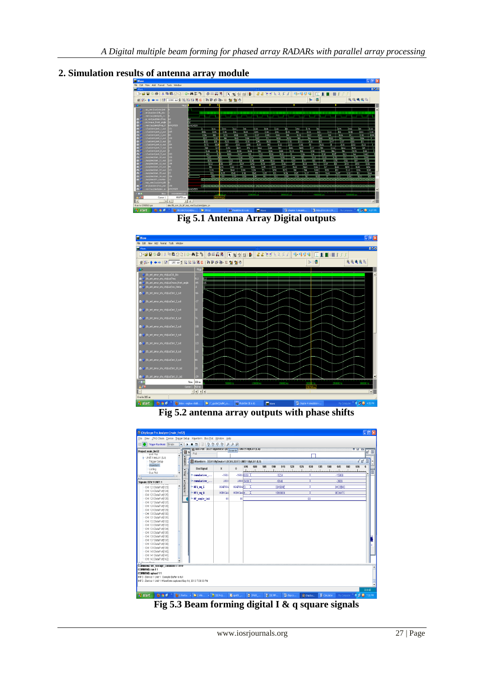

# **2. Simulation results of antenna array module**





**Fig 5.2 antenna array outputs with phase shifts**



**Fig 5.3 Beam forming digital I & q square signals**